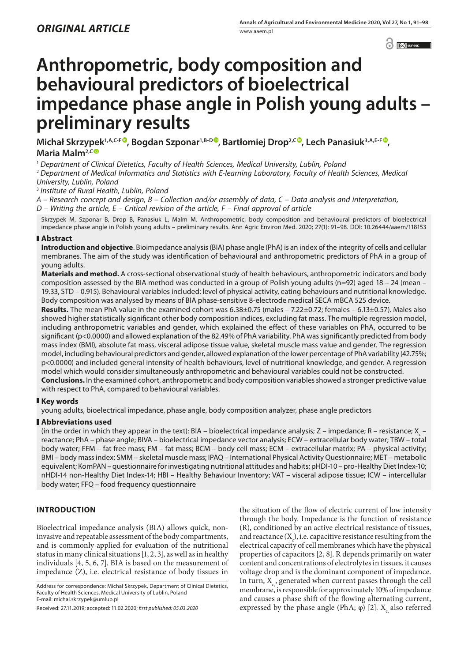$\odot$   $\odot$  BY-NC

# **Anthropometric, body composition and behavioural predictors of bioelectrical impedance phase angle in Polish young adults – preliminary results**

**Michał Skrzypek1,A,C-F [,](https://orcid.org/0000-0002-7498-8248) Bogdan Szponar1,B-D , Bartłomiej Drop2,C [,](https://orcid.org/0000-0001-7044-3657) Lech Panasiuk3,A,E-F [,](https://orcid.org/0000-0001-6210-2887) Maria Malm2,C**

<sup>1</sup> *Department of Clinical Dietetics, Faculty of Health Sciences, Medical University, Lublin, Poland*

<sup>2</sup> *Department of Medical Informatics and Statistics with E-learning Laboratory, Faculty of Health Sciences, Medical University, Lublin, Poland*

<sup>3</sup> *Institute of Rural Health, Lublin, Poland*

*A – Research concept and design, B – Collection and/or assembly of data, C – Data analysis and interpretation, D – Writing the article, E – Critical revision of the article, F – Final approval of article*

Skrzypek M, Szponar B, Drop B, Panasiuk L, Malm M. Anthropometric, body composition and behavioural predictors of bioelectrical impedance phase angle in Polish young adults – preliminary results. Ann Agric Environ Med. 2020; 27(1): 91–98. DOI: 10.26444/aaem/118153

# **Abstract**

**Introduction and objective**. Bioimpedance analysis (BIA) phase angle (PhA) is an index of the integrity of cells and cellular membranes. The aim of the study was identification of behavioural and anthropometric predictors of PhA in a group of young adults.

**Materials and method.** A cross-sectional observational study of health behaviours, anthropometric indicators and body composition assessed by the BIA method was conducted in a group of Polish young adults (n=92) aged 18 – 24 (mean – 19.33, STD – 0.915). Behavioural variables included: level of physical activity, eating behaviours and nutritional knowledge. Body composition was analysed by means of BIA phase-sensitive 8-electrode medical SECA mBCA 525 device.

**Results.** The mean PhA value in the examined cohort was 6.38±0.75 (males – 7.22±0.72; females – 6.13±0.57). Males also showed higher statistically significant other body composition indices, excluding fat mass. The multiple regression model, including anthropometric variables and gender, which explained the effect of these variables on PhA, occurred to be significant (p<0.0000) and allowed explanation of the 82.49% of PhA variability. PhA was significantly predicted from body mass index (BMI), absolute fat mass, visceral adipose tissue value, skeletal muscle mass value and gender. The regression model, including behavioural predictors and gender, allowed explanation of the lower percentage of PhA variability (42.75%; p<0.0000) and included general intensity of health behaviours, level of nutritional knowledge, and gender. A regression model which would consider simultaneously anthropometric and behavioural variables could not be constructed.

**Conclusions.** In the examined cohort, anthropometric and body composition variables showed a stronger predictive value with respect to PhA, compared to behavioural variables.

# **Key words**

young adults, bioelectrical impedance, phase angle, body composition analyzer, phase angle predictors

# **Abbreviations used**

(in the order in which they appear in the text): BIA – bioelectrical impedance analysis; Z – impedance; R – resistance; X – reactance; PhA – phase angle; BIVA – bioelectrical impedance vector analysis; ECW – extracellular body water; TBW – total body water; FFM – fat free mass; FM – fat mass; BCM – body cell mass; ECM – extracellular matrix; PA – physical activity; BMI – body mass index; SMM – skeletal muscle mass; IPAQ – International Physical Activity Questionnaire; MET – metabolic equivalent; KomPAN – questionnaire for investigating nutritional attitudes and habits; pHDI-10 – pro-Healthy Diet Index-10; nHDI-14 non-Healthy Diet Index-14; HBI – Healthy Behaviour Inventory; VAT – visceral adipose tissue; ICW – intercellular body water; FFQ – food frequency questionnaire

# **INTRODUCTION**

Bioelectrical impedance analysis (BIA) allows quick, noninvasive and repeatable assessment of the body compartments, and is commonly applied for evaluation of the nutritional status in many clinical situations [1, 2, 3], as well as in healthy individuals [4, 5, 6, 7]. BIA is based on the measurement of impedance (Z), i.e. electrical resistance of body tissues in

Address for correspondence: Michał Skrzypek, Department of Clinical Dietetics, Faculty of Health Sciences, Medical University of Lublin, Poland E-mail: michal.skrzypek@umlub.pl

the situation of the flow of electric current of low intensity through the body. Impedance is the function of resistance (R), conditioned by an active electrical resistance of tissues, and reactance  $(X_c)$ , i.e. capacitive resistance resulting from the electrical capacity of cell membranes which have the physical properties of capacitors [2, 8]. R depends primarily on water content and concentrations of electrolytes in tissues, it causes voltage drop and is the dominant component of impedance. In turn,  $X_{\alpha}$ , generated when current passes through the cell membrane, is responsible for approximately 10% of impedance and causes a phase shift of the flowing alternating current, expressed by the phase angle (PhA; φ) [2].  $X<sub>c</sub>$  also referred

Received: 27.11.2019; accepted: 11.02.2020; *first published: 05.03.2020*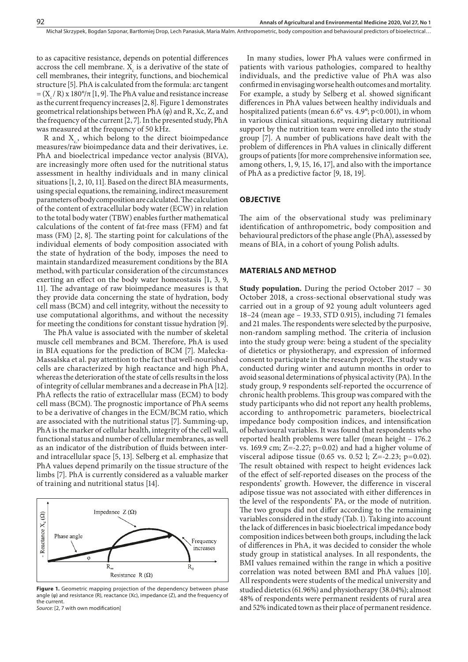to as capacitive resistance, depends on potential differences accross the cell membrane.  $X_c$  is a derivative of the state of cell membranes, their integrity, functions, and biochemical structure [5]. PhA is calculated from the formula: arc tangent  $= (X/R)x 180°/\pi$  [1, 9]. The PhA value and resistance increase as the current frequency increases [2, 8]. Figure 1 demonstrates geometrical relationships between PhA (φ) and R, Xc, Z, and the frequency of the current [2, 7]. In the presented study, PhA was measured at the frequency of 50 kHz.

R and  $X_c$ , which belong to the direct bioimpedance measures/raw bioimpedance data and their derivatives, i.e. PhA and bioelectrical impedance vector analysis (BIVA), are increasingly more often used for the nutritional status assessment in healthy individuals and in many clinical situations [1, 2, 10, 11]. Based on the direct BIA measurments, using special equations, the remaining, indirect measurement parameters of body composition are calculated. The calculation of the content of extracellular body water (ECW) in relation to the total body water (TBW) enables further mathematical calculations of the content of fat-free mass (FFM) and fat mass (FM) [2, 8]. The starting point for calculations of the individual elements of body composition associated with the state of hydration of the body, imposes the need to maintain standardized measurement conditions by the BIA method, with particular consideration of the circumstances exerting an effect on the body water homeostasis [1, 3, 9, 11]. The advantage of raw bioimpedance measures is that they provide data concerning the state of hydration, body cell mass (BCM) and cell integrity, without the necessity to use computational algorithms, and without the necessity for meeting the conditions for constant tissue hydration [9].

The PhA value is associated with the number of skeletal muscle cell membranes and BCM. Therefore, PhA is used in BIA equations for the prediction of BCM [7]. Małecka-Massalska et al. pay attention to the fact that well-nourished cells are characterized by high reactance and high PhA, whereas the deterioration of the state of cells results in the loss of integrity of cellular membranes and a decrease in PhA [12]. PhA reflects the ratio of extracellular mass (ECM) to body cell mass (BCM). The prognostic importance of PhA seems to be a derivative of changes in the ECM/BCM ratio, which are associated with the nutritional status [7]. Summing-up, PhA is the marker of cellular health, integrity of the cell wall, functional status and number of cellular membranes, as well as an indicator of the distribution of fluids between interand intracellular space [5, 13]. Selberg et al. emphasize that PhA values depend primarily on the tissue structure of the limbs [7]. PhA is currently considered as a valuable marker of training and nutritional status [14].



Figure 1. Geometric mapping projection of the dependency between phase angle (φ) and resistance (R), reactance (Xc), impedance (Z), and the frequency of the current.

*Source:* [2, 7 with own modification]

In many studies, lower PhA values were confirmed in patients with various pathologies, compared to healthy individuals, and the predictive value of PhA was also confirmed in envisaging worse health outcomes and mortality. For example, a study by Selberg et al. showed significant differences in PhA values between healthy individuals and hospitalized patients (mean 6.6° vs. 4.9°; p<0.001), in whom in various clinical situations, requiring dietary nutritional support by the nutrition team were enrolled into the study group [7]. A number of publications have dealt with the problem of differences in PhA values in clinically different groups of patients [for more comprehensive information see, among others, 1, 9, 15, 16, 17], and also with the importance of PhA as a predictive factor [9, 18, 19].

#### **OBJECTIVE**

The aim of the observational study was preliminary identification of anthropometric, body composition and behavioural predictors of the phase angle (PhA), assessed by means of BIA, in a cohort of young Polish adults.

#### **MATERIALS AND METHOD**

**Study population.** During the period October 2017 – 30 October 2018, a cross-sectional observational study was carried out in a group of 92 young adult volunteers aged 18–24 (mean age – 19.33, STD 0.915), including 71 females and 21 males. The respondents were selected by the purposive, non-random sampling method. The criteria of inclusion into the study group were: being a student of the speciality of dietetics or physiotherapy, and expression of informed consent to participate in the research project. The study was conducted during winter and autumn months in order to avoid seasonal determinations of physical activity (PA). In the study group, 9 respondents self-reported the occurrence of chronic health problems. This group was compared with the study participants who did not report any health problems, according to anthropometric parameters, bioelectrical impedance body composition indices, and intensification of behavioural variables. It was found that respondents who reported health problems were taller (mean height – 176.2 vs. 169.9 cm; Z=-2.27; p=0.02) and had a higher volume of visceral adipose tissue  $(0.65 \text{ vs. } 0.52 \text{ l}; Z = -2.23; p = 0.02)$ . The result obtained with respect to height evidences lack of the effect of self-reported diseases on the process of the respondents' growth. However, the difference in visceral adipose tissue was not associated with either differences in the level of the respondents' PA, or the mode of nutrition. The two groups did not differ according to the remaining variables considered in the study (Tab. 1). Taking into account the lack of differences in basic bioelectrical impedance body composition indices between both groups, including the lack of differences in PhA, it was decided to consider the whole study group in statistical analyses. In all respondents, the BMI values remained within the range in which a positive correlation was noted between BMI and PhA values [10]. All respondents were students of the medical university and studied dietetics (61.96%) and physiotherapy (38.04%); almost 48% of respondents were permanent residents of rural area and 52% indicated town as their place of permanent residence.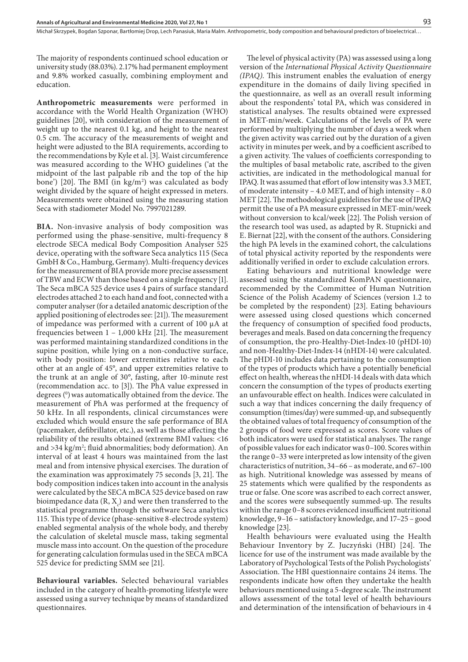The majority of respondents continued school education or university study (88.03%). 2.17% had permanent employment and 9.8% worked casually, combining employment and education.

**Anthropometric measurements** were performed in accordance with the World Health Organization (WHO) guidelines [20], with consideration of the measurement of weight up to the nearest 0.1 kg, and height to the nearest 0.5 cm. The accuracy of the measurements of weight and height were adjusted to the BIA requirements, according to the recommendations by Kyle et al. [3]. Waist circumference was measured according to the WHO guidelines ('at the midpoint of the last palpable rib and the top of the hip bone') [20]. The BMI (in kg/m<sup>2</sup>) was calculated as body weight divided by the square of height expressed in meters. Measurements were obtained using the measuring station Seca with stadiometer Model No. 7997021289.

**BIA.** Non-invasive analysis of body composition was performed using the phase-sensitive, multi-frequency 8 electrode SECA medical Body Composition Analyser 525 device, operating with the software Seca analytics 115 (Seca GmbH & Co., Hamburg, Germany). Multi-frequency devices for the measurement of BIA provide more precise assessment of TBW and ECW than those based on a single frequency [1]. The Seca mBCA 525 device uses 4 pairs of surface standard electrodes attached 2 to each hand and foot, connected with a computer analyser (for a detailed anatomic description of the applied positioning of electrodes see: [21]). The measurement of impedance was performed with a current of 100 µA at frequencies between 1 – 1,000 kHz [21]. The measurement was performed maintaining standardized conditions in the supine position, while lying on a non-conductive surface, with body position: lower extremities relative to each other at an angle of 45°, and upper extremities relative to the trunk at an angle of 30°, fasting, after 10-minute rest (recommendation acc. to [3]). The PhA value expressed in degrees (<sup>0</sup>) was automatically obtained from the device. The measurement of PhA was performed at the frequency of 50 kHz. In all respondents, clinical circumstances were excluded which would ensure the safe performance of BIA (pacemaker, defibrillator, etc.), as well as those affecting the reliability of the results obtained (extreme BMI values: <16 and >34 kg/m2 ; fluid abnormalities; body deformation). An interval of at least 4 hours was maintained from the last meal and from intensive physical exercises. The duration of the examination was approximately 75 seconds [3, 21]. The body composition indices taken into account in the analysis were calculated by the SECA mBCA 525 device based on raw bioimpedance data  $(R, X_c)$  and were then transferred to the statistical programme through the software Seca analytics 115. This type of device (phase-sensitive 8-electrode system) enabled segmental analysis of the whole body, and thereby the calculation of skeletal muscle mass, taking segmental muscle mass into account. On the question of the procedure for generating calculation formulas used in the SECA mBCA 525 device for predicting SMM see [21].

**Behavioural variables.** Selected behavioural variables included in the category of health-promoting lifestyle were assessed using a survey technique by means of standardized questionnaires.

The level of physical activity (PA) was assessed using a long version of the *International Physical Activity Questionnaire (IPAQ)*. This instrument enables the evaluation of energy expenditure in the domains of daily living specified in the questionnaire, as well as an overall result informing about the respondents' total PA, which was considered in statistical analyses. The results obtained were expressed in MET-min/week. Calculations of the levels of PA were performed by multiplying the number of days a week when the given activity was carried out by the duration of a given activity in minutes per week, and by a coefficient ascribed to a given activity. The values of coefficients corresponding to the multiples of basal metabolic rate, ascribed to the given activities, are indicated in the methodological manual for IPAQ. It was assumed that effort of low intensity was 3.3 MET, of moderate intensity – 4.0 MET, and of high intensity – 8.0 MET [22]. The methodological guidelines for the use of IPAQ permit the use of a PA measure expressed in MET-min/week without conversion to kcal/week [22]. The Polish version of the research tool was used, as adapted by R. Stupnicki and E. Biernat [22], with the consent of the authors. Considering the high PA levels in the examined cohort, the calculations of total physical activity reported by the respondents were additionally verified in order to exclude calculation errors.

Eating behaviours and nutritional knowledge were assessed using the standardized KomPAN questionnaire, recommended by the Committee of Human Nutrition Science of the Polish Academy of Sciences (version 1.2 to be completed by the respondent) [23]. Eating behaviours were assessed using closed questions which concerned the frequency of consumption of specified food products, beverages and meals. Based on data concerning the frequency of consumption, the pro-Healthy-Diet-Index-10 (pHDI-10) and non-Healthy-Diet-Index-14 (nHDI-14) were calculated. The pHDI-10 includes data pertaining to the consumption of the types of products which have a potentially beneficial effect on health, whereas the nHDI-14 deals with data which concern the consumption of the types of products exerting an unfavourable effect on health. Indices were calculated in such a way that indices concerning the daily frequency of consumption (times/day) were summed-up, and subsequently the obtained values of total frequency of consumption of the 2 groups of food were expressed as scores. Score values of both indicators were used for statistical analyses. The range of possible values for each indicator was 0–100. Scores within the range 0–33 were interpreted as low intensity of the given characteristics of nutrition, 34–66 – as moderate, and 67–100 as high. Nutritional knowledge was assessed by means of 25 statements which were qualified by the respondents as true or false. One score was ascribed to each correct answer, and the scores were subsequently summed-up. The results within the range 0–8 scores evidenced insufficient nutritional knowledge, 9–16 – satisfactory knowledge, and 17–25 – good knowledge [23].

Health behaviours were evaluated using the Health Behaviour Inventory by Z. Juczyński (HBI) [24]. The licence for use of the instrument was made available by the Laboratory of Psychological Tests of the Polish Psychologists' Association. The HBI questionnaire contains 24 items. The respondents indicate how often they undertake the health behaviours mentioned using a 5-degree scale. The instrument allows assessment of the total level of health behaviours and determination of the intensification of behaviours in 4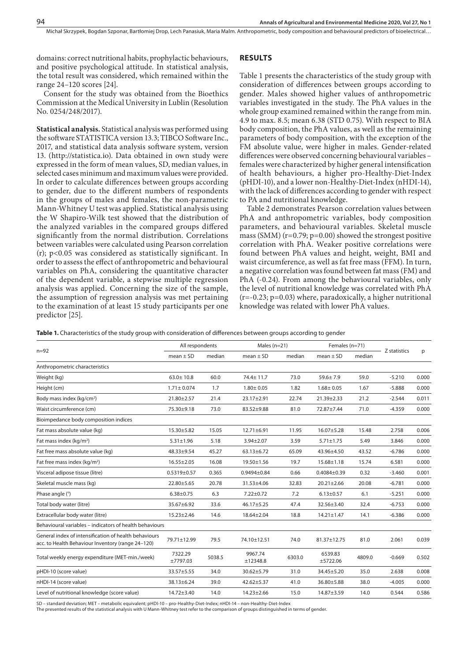domains: correct nutritional habits, prophylactic behaviours, and positive psychological attitude. In statistical analysis, the total result was considered, which remained within the range 24–120 scores [24].

Consent for the study was obtained from the Bioethics Commission at the Medical University in Lublin (Resolution No. 0254/248/2017).

**Statistical analysis.** Statistical analysis was performed using the software STATISTICA version 13.3; TIBCO Software Inc., 2017, and statistical data analysis software system, version 13. (http://statistica.io). Data obtained in own study were expressed in the form of mean values, SD, median values, in selected cases minimum and maximum values were provided. In order to calculate differences between groups according to gender, due to the different numbers of respondents in the groups of males and females, the non-parametric Mann-Whitney U test was applied. Statistical analysis using the W Shapiro-Wilk test showed that the distribution of the analyzed variables in the compared groups differed significantly from the normal distribution. Correlations between variables were calculated using Pearson correlation (r); p<0.05 was considered as statistically significant. In order to assess the effect of anthropometric and behavioural variables on PhA, considering the quantitative character of the dependent variable, a stepwise multiple regression analysis was applied. Concerning the size of the sample, the assumption of regression analysis was met pertaining to the examination of at least 15 study participants per one predictor [25].

## **RESULTS**

Table 1 presents the characteristics of the study group with consideration of differences between groups according to gender. Males showed higher values of anthropometric variables investigated in the study. The PhA values in the whole group examined remained within the range from min. 4.9 to max. 8.5; mean 6.38 (STD 0.75). With respect to BIA body composition, the PhA values, as well as the remaining parameters of body composition, with the exception of the FM absolute value, were higher in males. Gender-related differences were observed concerning behavioural variables – females were characterized by higher general intensification of health behaviours, a higher pro-Healthy-Diet-Index (pHDI-10), and a lower non-Healthy-Diet-Index (nHDI-14), with the lack of differences according to gender with respect to PA and nutritional knowledge.

Table 2 demonstrates Pearson correlation values between PhA and anthropometric variables, body composition parameters, and behavioural variables. Skeletal muscle mass (SMM)  $(r=0.79; p=0.00)$  showed the strongest positive correlation with PhA. Weaker positive correlations were found between PhA values and height, weight, BMI and waist circumference, as well as fat free mass (FFM). In turn, a negative correlation was found between fat mass (FM) and PhA (-0.24). From among the behavioural variables, only the level of nutritional knowledge was correlated with PhA  $(r=-0.23; p=0.03)$  where, paradoxically, a higher nutritional knowledge was related with lower PhA values.

**Table 1.** Characteristics of the study group with consideration of differences between groups according to gender

| $n = 92$                                                                                                   | All respondents     |        | Males $(n=21)$      |        | Females (n=71)      |        | Z statistics |       |
|------------------------------------------------------------------------------------------------------------|---------------------|--------|---------------------|--------|---------------------|--------|--------------|-------|
|                                                                                                            | mean $\pm$ SD       | median | mean $\pm$ SD       | median | mean $\pm$ SD       | median |              | p     |
| Anthropometric characteristics                                                                             |                     |        |                     |        |                     |        |              |       |
| Weight (kg)                                                                                                | $63.0 \pm 10.8$     | 60.0   | 74.4± 11.7          | 73.0   | $59.6 \pm 7.9$      | 59.0   | $-5.210$     | 0.000 |
| Height (cm)                                                                                                | $1.71 \pm 0.074$    | 1.7    | $1.80 \pm 0.05$     | 1.82   | $1.68 \pm 0.05$     | 1.67   | $-5.888$     | 0.000 |
| Body mass index (kg/cm <sup>2</sup> )                                                                      | 21.80±2.57          | 21.4   | 23.17±2.91          | 22.74  | $21.39 \pm 2.33$    | 21.2   | $-2.544$     | 0.011 |
| Waist circumference (cm)                                                                                   | 75.30±9.18          | 73.0   | 83.52±9.88          | 81.0   | 72.87±7.44          | 71.0   | $-4.359$     | 0.000 |
| Bioimpedance body composition indices                                                                      |                     |        |                     |        |                     |        |              |       |
| Fat mass absolute value (kg)                                                                               | 15.30±5.82          | 15.05  | $12.71 \pm 6.91$    | 11.95  | $16.07 + 5.28$      | 15.48  | 2.758        | 0.006 |
| Fat mass index (kg/m <sup>2</sup> )                                                                        | $5.31 \pm 1.96$     | 5.18   | $3.94 \pm 2.07$     | 3.59   | $5.71 \pm 1.75$     | 5.49   | 3.846        | 0.000 |
| Fat free mass absolute value (kg)                                                                          | 48.33±9.54          | 45.27  | $63.13 \pm 6.72$    | 65.09  | 43.96±4.50          | 43.52  | $-6.786$     | 0.000 |
| Fat free mass index (kg/m <sup>2</sup> )                                                                   | $16.55 \pm 2.05$    | 16.08  | 19.50±1.56          | 19.7   | $15.68 \pm 1.18$    | 15.74  | 6.581        | 0.000 |
| Visceral adipose tissue (litre)                                                                            | $0.5319 \pm 0.57$   | 0.365  | $0.9494 \pm 0.84$   | 0.66   | $0.4084 \pm 0.39$   | 0.32   | $-3.460$     | 0.001 |
| Skeletal muscle mass (kg)                                                                                  | 22.80±5.65          | 20.78  | 31.53±4.06          | 32.83  | $20.21 \pm 2.66$    | 20.08  | $-6.781$     | 0.000 |
| Phase angle (°)                                                                                            | $6.38 \pm 0.75$     | 6.3    | $7.22 \pm 0.72$     | 7.2    | $6.13 \pm 0.57$     | 6.1    | $-5.251$     | 0.000 |
| Total body water (litre)                                                                                   | 35.67±6.92          | 33.6   | $46.17 + 5.25$      | 47.4   | 32.56±3.40          | 32.4   | $-6.753$     | 0.000 |
| Extracellular body water (litre)                                                                           | $15.23 \pm 2.46$    | 14.6   | $18.64 \pm 2.04$    | 18.8   | $14.21 \pm 1.47$    | 14.1   | $-6.386$     | 0.000 |
| Behavioural variables – indicators of health behaviours                                                    |                     |        |                     |        |                     |        |              |       |
| General index of intensification of health behaviours<br>acc. to Health Behaviour Inventory (range 24-120) | 79.71±12.99         | 79.5   | 74.10±12.51         | 74.0   | 81.37±12.75         | 81.0   | 2.061        | 0.039 |
| Total weekly energy expenditure (MET-min./week)                                                            | 7322.29<br>±7797.03 | 5038.5 | 9967.74<br>±12348.8 | 6303.0 | 6539.83<br>±5722.06 | 4809.0 | $-0.669$     | 0.502 |
| pHDI-10 (score value)                                                                                      | 33.57±5.55          | 34.0   | $30.62 \pm 5.79$    | 31.0   | 34.45±5.20          | 35.0   | 2.638        | 0.008 |
| nHDI-14 (score value)                                                                                      | 38.13±6.24          | 39.0   | $42.62 \pm 5.37$    | 41.0   | 36.80±5.88          | 38.0   | $-4.005$     | 0.000 |
| Level of nutritional knowledge (score value)                                                               | 14.72±3.40          | 14.0   | $14.23 \pm 2.66$    | 15.0   | 14.87±3.59          | 14.0   | 0.544        | 0.586 |
|                                                                                                            |                     |        |                     |        |                     |        |              |       |

SD – standard deviation; MET – metabolic equivalent; pHDI-10 – pro-Healthy-Diet-Index; nHDI-14 – non-Healthy-Diet-Index<br>The presented results of the statistical analysis with U Mann-Whitney test refer to the comparison of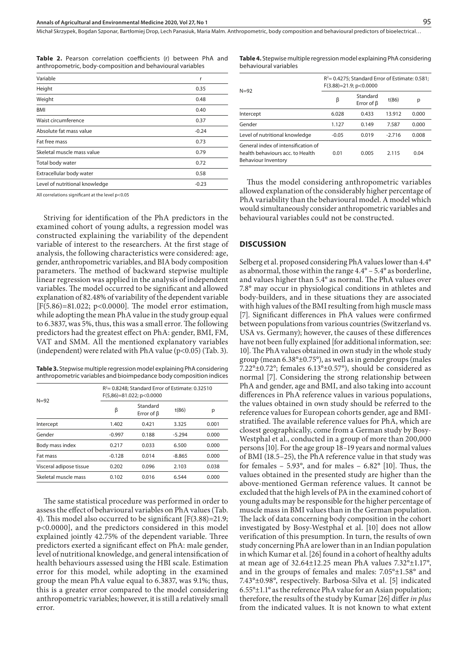**Table 2.** Pearson correlation coefficients (r) between PhA and anthropometric, body-composition and behavioural variables

| Variable                       | r       |
|--------------------------------|---------|
| Height                         | 0.35    |
| Weight                         | 0.48    |
| <b>BMI</b>                     | 0.40    |
| Waist circumference            | 0.37    |
| Absolute fat mass value        | $-0.24$ |
| Fat free mass                  | 0.73    |
| Skeletal muscle mass value     | 0.79    |
| Total body water               | 0.72    |
| Extracellular body water       | 0.58    |
| Level of nutritional knowledge | $-0.23$ |

All correlations significant at the level p<0.05

Striving for identification of the PhA predictors in the examined cohort of young adults, a regression model was constructed explaining the variability of the dependent variable of interest to the researchers. At the first stage of analysis, the following characteristics were considered: age, gender, anthropometric variables, and BIA body composition parameters. The method of backward stepwise multiple linear regression was applied in the analysis of independent variables. The model occurred to be significant and allowed explanation of 82.48% of variability of the dependent variable [F(5.86)=81.022; p<0.0000]. The model error estimation, while adopting the mean PhA value in the study group equal to 6.3837, was 5%, thus, this was a small error. The following predictors had the greatest effect on PhA: gender, BMI, FM, VAT and SMM. All the mentioned explanatory variables (independent) were related with PhA value (p<0.05) (Tab. 3).

**Table 3.** Stepwise multiple regression model explaining PhA considering anthropometric variables and bioimpedance body composition indices

| $N = 92$                | R <sup>2</sup> = 0.8248; Standard Error of Estimate: 0.32510<br>$F(5,86)=81.022; p<0.0000$ |                              |          |       |  |  |
|-------------------------|--------------------------------------------------------------------------------------------|------------------------------|----------|-------|--|--|
|                         | β                                                                                          | Standard<br>Error of $\beta$ | t(86)    | р     |  |  |
| Intercept               | 1.402                                                                                      | 0.421                        | 3.325    | 0.001 |  |  |
| Gender                  | $-0.997$                                                                                   | 0.188                        | $-5.294$ | 0.000 |  |  |
| Body mass index         | 0.217                                                                                      | 0.033                        | 6.500    | 0.000 |  |  |
| Fat mass                | $-0.128$                                                                                   | 0.014                        | $-8.865$ | 0.000 |  |  |
| Visceral adipose tissue | 0.202                                                                                      | 0.096                        | 2.103    | 0.038 |  |  |
| Skeletal muscle mass    | 0.102                                                                                      | 0.016                        | 6.544    | 0.000 |  |  |
|                         |                                                                                            |                              |          |       |  |  |

The same statistical procedure was performed in order to assess the effect of behavioural variables on PhA values (Tab. 4). This model also occurred to be significant [F(3.88)=21.9; p<0.0000], and the predictors considered in this model explained jointly 42.75% of the dependent variable. Three predictors exerted a significant effect on PhA: male gender, level of nutritional knowledge, and general intensification of health behaviours assessed using the HBI scale. Estimation error for this model, while adopting in the examined group the mean PhA value equal to 6.3837, was 9.1%; thus, this is a greater error compared to the model considering anthropometric variables; however, it is still a relatively small error.

**Table 4.** Stepwise multiple regression model explaining PhA considering behavioural variables

|                                                                                                | $R^2$ = 0.4275; Standard Error of Estimate: 0.581;<br>$F(3.88)=21.9; p<0.0000$ |                              |          |       |  |  |
|------------------------------------------------------------------------------------------------|--------------------------------------------------------------------------------|------------------------------|----------|-------|--|--|
| $N = 92$                                                                                       | β                                                                              | Standard<br>Error of $\beta$ | t(86)    | р     |  |  |
| Intercept                                                                                      | 6.028                                                                          | 0.433                        | 13.912   | 0.000 |  |  |
| Gender                                                                                         | 1.127                                                                          | 0.149                        | 7.587    | 0.000 |  |  |
| Level of nutritional knowledge                                                                 | $-0.05$                                                                        | 0.019                        | $-2.716$ | 0.008 |  |  |
| General index of intensification of<br>health behaviours acc. to Health<br>Behaviour Inventory | 0.01                                                                           | 0.005                        | 2.115    | 0.04  |  |  |

Thus the model considering anthropometric variables allowed explanation of the considerably higher percentage of PhA variability than the behavioural model. A model which would simultaneously consider anthropometric variables and behavioural variables could not be constructed.

## **DISCUSSION**

Selberg et al. proposed considering PhA values lower than 4.4° as abnormal, those within the range 4.4° – 5.4° as borderline, and values higher than 5.4° as normal. The PhA values over 7.8° may occur in physiological conditions in athletes and body-builders, and in these situations they are associated with high values of the BMI resulting from high muscle mass [7]. Significant differences in PhA values were confirmed between populations from various countries (Switzerland vs. USA vs. Germany); however, the causes of these differences have not been fully explained [for additional information, see: 10]. The PhA values obtained in own study in the whole study group (mean 6.38°±0.75°), as well as in gender groups (males 7.22 $\textdegree$ ±0.72°; females 6.13°±0.57°), should be considered as normal [7]. Considering the strong relationship between PhA and gender, age and BMI, and also taking into account differences in PhA reference values in various populations, the values obtained in own study should be referred to the reference values for European cohorts gender, age and BMIstratified. The available reference values for PhA, which are closest geographically, come from a German study by Bosy-Westphal et al., conducted in a group of more than 200,000 persons [10]. For the age group 18–19 years and normal values of BMI (18.5–25), the PhA reference value in that study was for females – 5.93 $^{\circ}$ , and for males – 6.82 $^{\circ}$  [10]. Thus, the values obtained in the presented study are higher than the above-mentioned German reference values. It cannot be excluded that the high levels of PA in the examined cohort of young adults may be responsible for the higher percentage of muscle mass in BMI values than in the German population. The lack of data concerning body composition in the cohort investigated by Bosy-Westphal et al. [10] does not allow verification of this presumption. In turn, the results of own study concerning PhA are lower than in an Indian population in which Kumar et al. [26] found in a cohort of healthy adults at mean age of  $32.64 \pm 12.25$  mean PhA values  $7.32^{\circ} \pm 1.17^{\circ}$ , and in the groups of females and males: 7.05°±1.58° and 7.43°±0.98°, respectively. Barbosa-Silva et al. [5] indicated  $6.55^{\circ}$ ±1.1° as the reference PhA value for an Asian population; therefore, the results of the study by Kumar [26] differ *in plus* from the indicated values. It is not known to what extent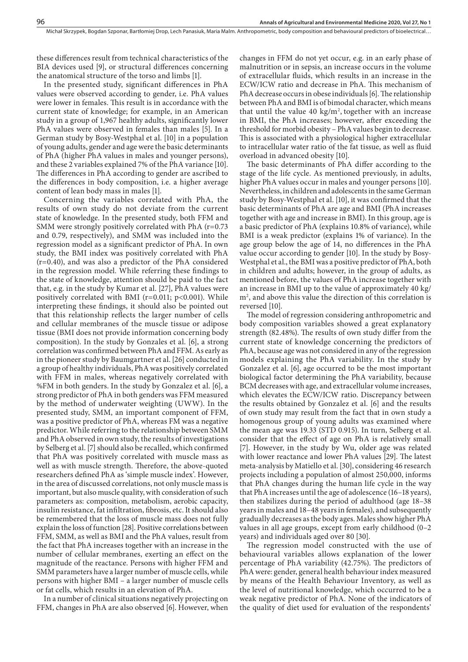these differences result from technical characteristics of the BIA devices used [9], or structural differences concerning the anatomical structure of the torso and limbs [1].

In the presented study, significant differences in PhA values were observed according to gender, i.e. PhA values were lower in females. This result is in accordance with the current state of knowledge; for example, in an American study in a group of 1,967 healthy adults, significantly lower PhA values were observed in females than males [5]. In a German study by Bosy-Westphal et al. [10] in a population of young adults, gender and age were the basic determinants of PhA (higher PhA values in males and younger persons), and these 2 variables explained 7% of the PhA variance [10]. The differences in PhA according to gender are ascribed to the differences in body composition, i.e. a higher average content of lean body mass in males [1].

Concerning the variables correlated with PhA, the results of own study do not deviate from the current state of knowledge. In the presented study, both FFM and SMM were strongly positively correlated with PhA (r=0.73 and 0.79, respectively), and SMM was included into the regression model as a significant predictor of PhA. In own study, the BMI index was positively correlated with PhA (r=0.40), and was also a predictor of the PhA considered in the regression model. While referring these findings to the state of knowledge, attention should be paid to the fact that, e.g. in the study by Kumar et al. [27], PhA values were positively correlated with BMI ( $r=0.011$ ;  $p<0.001$ ). While interpreting these findings, it should also be pointed out that this relationship reflects the larger number of cells and cellular membranes of the muscle tissue or adipose tissue (BMI does not provide information concerning body composition). In the study by Gonzales et al. [6], a strong correlation was confirmed between PhA and FFM. As early as in the pioneer study by Baumgartner et al. [26] conducted in a group of healthy individuals, PhA was positively correlated with FFM in males, whereas negatively correlated with %FM in both genders. In the study by Gonzalez et al. [6], a strong predictor of PhA in both genders was FFM measured by the method of underwater weighting (UWW). In the presented study, SMM, an important component of FFM, was a positive predictor of PhA, whereas FM was a negative predictor. While referring to the relationship between SMM and PhA observed in own study, the results of investigations by Selberg et al. [7] should also be recalled, which confirmed that PhA was positively correlated with muscle mass as well as with muscle strength. Therefore, the above-quoted researchers defined PhA as 'simple muscle index'. However, in the area of discussed correlations, not only muscle mass is important, but also muscle quality, with consideration of such parameters as: composition, metabolism, aerobic capacity, insulin resistance, fat infiltration, fibrosis, etc. It should also be remembered that the loss of muscle mass does not fully explain the loss of function [28]. Positive correlations between FFM, SMM, as well as BMI and the PhA values, result from the fact that PhA increases together with an increase in the number of cellular membranes, exerting an effect on the magnitude of the reactance. Persons with higher FFM and SMM parameters have a larger number of muscle cells, while persons with higher BMI – a larger number of muscle cells or fat cells, which results in an elevation of PhA.

In a number of clinical situations negatively projecting on FFM, changes in PhA are also observed [6]. However, when changes in FFM do not yet occur, e.g. in an early phase of malnutrition or in sepsis, an increase occurs in the volume of extracellular fluids, which results in an increase in the ECW/ICW ratio and decrease in PhA. This mechanism of PhA decrease occurs in obese individuals [6]. The relationship between PhA and BMI is of bimodal character, which means that until the value  $40 \text{ kg/m}^2$ , together with an increase in BMI, the PhA increases; however, after exceeding the threshold for morbid obesity – PhA values begin to decrease. This is associated with a physiological higher extracellular to intracellular water ratio of the fat tissue, as well as fluid overload in advanced obesity [10].

The basic determinants of PhA differ according to the stage of the life cycle. As mentioned previously, in adults, higher PhA values occur in males and younger persons [10]. Nevertheless, in children and adolescents in the same German study by Bosy-Westphal et al. [10], it was confirmed that the basic determinants of PhA are age and BMI (PhA increases together with age and increase in BMI). In this group, age is a basic predictor of PhA (explains 10.8% of variance), while BMI is a weak predictor (explains 1% of variance). In the age group below the age of 14, no differences in the PhA value occur according to gender [10]. In the study by Bosy-Westphal et al., the BMI was a positive predictor of PhA, both in children and adults; however, in the group of adults, as mentioned before, the values of PhA increase together with an increase in BMI up to the value of approximately 40 kg/ m<sup>2</sup>, and above this value the direction of this correlation is reversed [10].

The model of regression considering anthropometric and body composition variables showed a great explanatory strength (82.48%). The results of own study differ from the current state of knowledge concerning the predictors of PhA, because age was not considered in any of the regression models explaining the PhA variability. In the study by Gonzalez et al. [6], age occurred to be the most important biological factor determining the PhA variability, because BCM decreases with age, and extracellular volume increases, which elevates the ECW/ICW ratio. Discrepancy between the results obtained by Gonzalez et al. [6] and the results of own study may result from the fact that in own study a homogenous group of young adults was examined where the mean age was 19.33 (STD 0.915). In turn, Selberg et al. consider that the effect of age on PhA is relatively small [7]. However, in the study by Wu, older age was related with lower reactance and lower PhA values [29]. The latest meta-analysis by Matiello et al. [30], considering 46 research projects including a population of almost 250,000, informs that PhA changes during the human life cycle in the way that PhA increases until the age of adolescence (16–18 years), then stabilizes during the period of adulthood (age 18–38 years in males and 18–48 years in females), and subsequently gradually decreases as the body ages. Males show higher PhA values in all age groups, except from early childhood (0–2 years) and individuals aged over 80 [30].

The regression model constructed with the use of behavioural variables allows explanation of the lower percentage of PhA variability (42.75%). The predictors of PhA were: gender, general health behaviour index measured by means of the Health Behaviour Inventory, as well as the level of nutritional knowledge, which occurred to be a weak negative predictor of PhA. None of the indicators of the quality of diet used for evaluation of the respondents'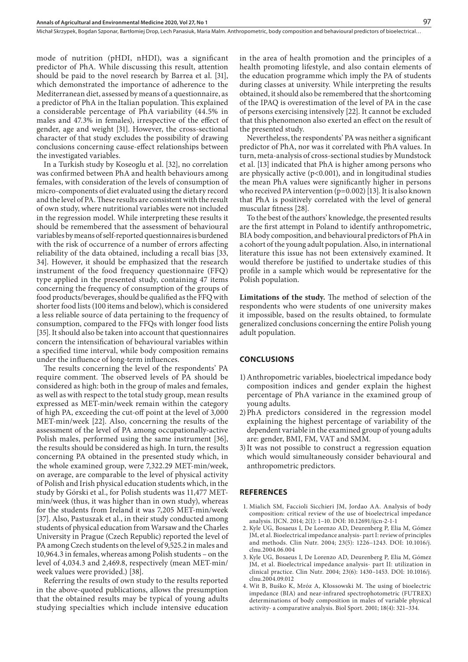mode of nutrition (pHDI, nHDI), was a significant predictor of PhA. While discussing this result, attention should be paid to the novel research by Barrea et al. [31], which demonstrated the importance of adherence to the Mediterranean diet, assessed by means of a questionnaire, as a predictor of PhA in the Italian population. This explained a considerable percentage of PhA variability (44.5% in males and 47.3% in females), irrespective of the effect of gender, age and weight [31]. However, the cross-sectional character of that study excludes the possibility of drawing conclusions concerning cause-effect relationships between the investigated variables.

In a Turkish study by Koseoglu et al. [32], no correlation was confirmed between PhA and health behaviours among females, with consideration of the levels of consumption of micro-components of diet evaluated using the dietary record and the level of PA. These results are consistent with the result of own study, where nutritional variables were not included in the regression model. While interpreting these results it should be remembered that the assessment of behavioural variables by means of self-reported questionnaires is burdened with the risk of occurrence of a number of errors affecting reliability of the data obtained, including a recall bias [33, 34]. However, it should be emphasized that the research instrument of the food frequency questionnaire (FFQ) type applied in the presented study, containing 47 items concerning the frequency of consumption of the groups of food products/beverages, should be qualified as the FFQ with shorter food lists (100 items and below), which is considered a less reliable source of data pertaining to the frequency of consumption, compared to the FFQs with longer food lists [35]. It should also be taken into account that questionnaires concern the intensification of behavioural variables within a specified time interval, while body composition remains under the influence of long-term influences.

The results concerning the level of the respondents' PA require comment. The observed levels of PA should be considered as high: both in the group of males and females, as well as with respect to the total study group, mean results expressed as MET-min/week remain within the category of high PA, exceeding the cut-off point at the level of 3,000 MET-min/week [22]. Also, concerning the results of the assessment of the level of PA among occupationally-active Polish males, performed using the same instrument [36], the results should be considered as high. In turn, the results concerning PA obtained in the presented study which, in the whole examined group, were 7,322.29 MET-min/week, on average, are comparable to the level of physical activity of Polish and Irish physical education students which, in the study by Górski et al., for Polish students was 11,477 METmin/week (thus, it was higher than in own study), whereas for the students from Ireland it was 7,205 MET-min/week [37]. Also, Pastuszak et al., in their study conducted among students of physical education from Warsaw and the Charles University in Prague (Czech Republic) reported the level of PA among Czech students on the level of 9,525.2 in males and 10,964.3 in females, whereas among Polish students – on the level of 4,034.3 and 2,469.8, respectively (mean MET-min/ week values were provided.) [38].

Referring the results of own study to the results reported in the above-quoted publications, allows the presumption that the obtained results may be typical of young adults studying specialties which include intensive education

in the area of health promotion and the principles of a health promoting lifestyle, and also contain elements of the education programme which imply the PA of students during classes at university. While interpreting the results obtained, it should also be remembered that the shortcoming of the IPAQ is overestimation of the level of PA in the case of persons exercising intensively [22]. It cannot be excluded that this phenomenon also exerted an effect on the result of the presented study.

Nevertheless, the respondents' PA was neither a significant predictor of PhA, nor was it correlated with PhA values. In turn, meta-analysis of cross-sectional studies by Mundstock et al. [13] indicated that PhA is higher among persons who are physically active (p<0.001), and in longitudinal studies the mean PhA values were significantly higher in persons who received PA intervention  $(p=0.002)$  [13]. It is also known that PhA is positively correlated with the level of general muscular fitness [28].

To the best of the authors' knowledge, the presented results are the first attempt in Poland to identify anthropometric, BIA body composition, and behavioural predictors of PhA in a cohort of the young adult population. Also, in international literature this issue has not been extensively examined. It would therefore be justified to undertake studies of this profile in a sample which would be representative for the Polish population.

**Limitations of the study.** The method of selection of the respondents who were students of one university makes it impossible, based on the results obtained, to formulate generalized conclusions concerning the entire Polish young adult population.

## **CONCLUSIONS**

- 1)Anthropometric variables, bioelectrical impedance body composition indices and gender explain the highest percentage of PhA variance in the examined group of young adults.
- 2)PhA predictors considered in the regression model explaining the highest percentage of variability of the dependent variable in the examined group of young adults are: gender, BMI, FM, VAT and SMM.
- 3)It was not possible to construct a regression equation which would simultaneously consider behavioural and anthropometric predictors.

### **REFERENCES**

- 1. Mialich SM, Faccioli Sicchieri JM, Jordao AA. Analysis of body composition: critical review of the use of bioelectrical impedance analysis. IJCN. 2014; 2(1): 1–10. DOI: 10.12691/ijcn-2-1-1
- 2. Kyle UG, Bosaeus I, De Lorenzo AD, Deurenberg P, Elia M, Gómez JM, et al. Bioelectrical impedance analysis- part I: review of principles and methods. Clin Nutr. 2004; 23(5): 1226–1243. DOI: 10.1016/j. clnu.2004.06.004
- 3. Kyle UG, Bosaeus I, De Lorenzo AD, Deurenberg P, Elia M, Gómez JM, et al. Bioelectrical impedance analysis- part II: utilization in clinical practice. Clin Nutr. 2004; 23(6): 1430–1453. DOI: 10.1016/j. clnu.2004.09.012
- 4. Wit B, Buśko K, Mróz A, Kłossowski M. The using of bioelectric impedance (BIA) and near-infrared spectrophotometric (FUTREX) determinations of body composition in males of variable physical activity- a comparative analysis. Biol Sport. 2001; 18(4): 321–334.